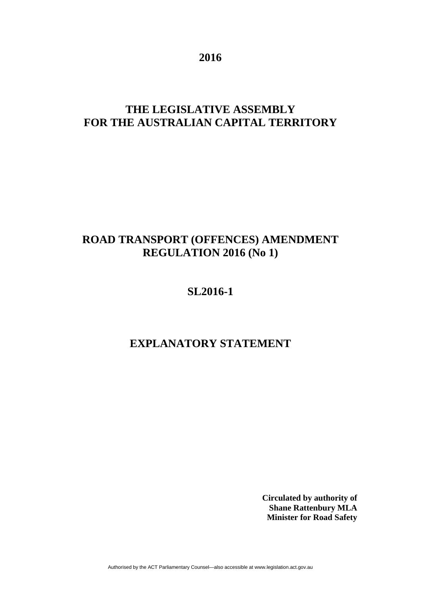**2016** 

# **THE LEGISLATIVE ASSEMBLY FOR THE AUSTRALIAN CAPITAL TERRITORY**

# **ROAD TRANSPORT (OFFENCES) AMENDMENT REGULATION 2016 (No 1)**

## **SL2016-1**

# **EXPLANATORY STATEMENT**

**Circulated by authority of Shane Rattenbury MLA Minister for Road Safety**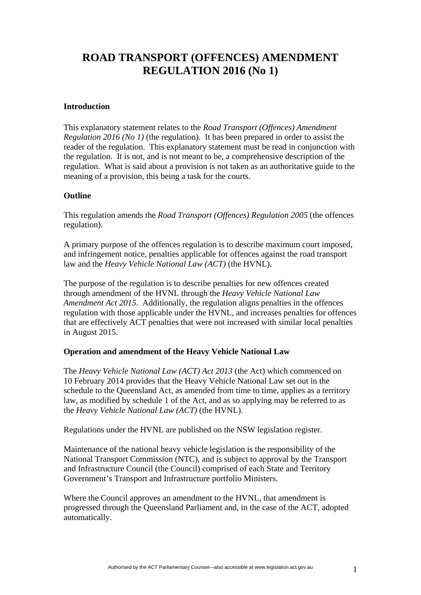## **ROAD TRANSPORT (OFFENCES) AMENDMENT REGULATION 2016 (No 1)**

### **Introduction**

This explanatory statement relates to the *Road Transport (Offences) Amendment Regulation 2016 (No 1)* (the regulation). It has been prepared in order to assist the reader of the regulation. This explanatory statement must be read in conjunction with the regulation. It is not, and is not meant to be, a comprehensive description of the regulation. What is said about a provision is not taken as an authoritative guide to the meaning of a provision, this being a task for the courts.

### **Outline**

This regulation amends the *Road Transport (Offences) Regulation 2005* (the offences regulation).

A primary purpose of the offences regulation is to describe maximum court imposed, and infringement notice, penalties applicable for offences against the road transport law and the *Heavy Vehicle National Law (ACT)* (the HVNL).

The purpose of the regulation is to describe penalties for new offences created through amendment of the HVNL through the *Heavy Vehicle National Law Amendment Act 2015*. Additionally, the regulation aligns penalties in the offences regulation with those applicable under the HVNL, and increases penalties for offences that are effectively ACT penalties that were not increased with similar local penalties in August 2015.

## **Operation and amendment of the Heavy Vehicle National Law**

The *Heavy Vehicle National Law (ACT) Act 2013* (the Act) which commenced on 10 February 2014 provides that the Heavy Vehicle National Law set out in the schedule to the Queensland Act, as amended from time to time, applies as a territory law, as modified by schedule 1 of the Act, and as so applying may be referred to as the *Heavy Vehicle National Law (ACT)* (the HVNL).

Regulations under the HVNL are published on the NSW legislation register.

Maintenance of the national heavy vehicle legislation is the responsibility of the National Transport Commission (NTC), and is subject to approval by the Transport and Infrastructure Council (the Council) comprised of each State and Territory Government's Transport and Infrastructure portfolio Ministers.

Where the Council approves an amendment to the HVNL, that amendment is progressed through the Queensland Parliament and, in the case of the ACT, adopted automatically.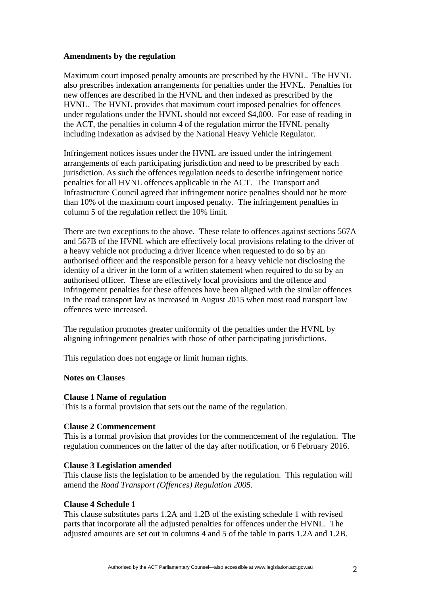### **Amendments by the regulation**

Maximum court imposed penalty amounts are prescribed by the HVNL. The HVNL also prescribes indexation arrangements for penalties under the HVNL. Penalties for new offences are described in the HVNL and then indexed as prescribed by the HVNL. The HVNL provides that maximum court imposed penalties for offences under regulations under the HVNL should not exceed \$4,000. For ease of reading in the ACT, the penalties in column 4 of the regulation mirror the HVNL penalty including indexation as advised by the National Heavy Vehicle Regulator.

Infringement notices issues under the HVNL are issued under the infringement arrangements of each participating jurisdiction and need to be prescribed by each jurisdiction. As such the offences regulation needs to describe infringement notice penalties for all HVNL offences applicable in the ACT. The Transport and Infrastructure Council agreed that infringement notice penalties should not be more than 10% of the maximum court imposed penalty. The infringement penalties in column 5 of the regulation reflect the 10% limit.

There are two exceptions to the above. These relate to offences against sections 567A and 567B of the HVNL which are effectively local provisions relating to the driver of a heavy vehicle not producing a driver licence when requested to do so by an authorised officer and the responsible person for a heavy vehicle not disclosing the identity of a driver in the form of a written statement when required to do so by an authorised officer. These are effectively local provisions and the offence and infringement penalties for these offences have been aligned with the similar offences in the road transport law as increased in August 2015 when most road transport law offences were increased.

The regulation promotes greater uniformity of the penalties under the HVNL by aligning infringement penalties with those of other participating jurisdictions.

This regulation does not engage or limit human rights.

### **Notes on Clauses**

### **Clause 1 Name of regulation**

This is a formal provision that sets out the name of the regulation.

### **Clause 2 Commencement**

This is a formal provision that provides for the commencement of the regulation. The regulation commences on the latter of the day after notification, or 6 February 2016.

## **Clause 3 Legislation amended**

This clause lists the legislation to be amended by the regulation. This regulation will amend the *Road Transport (Offences) Regulation 2005.*

## **Clause 4 Schedule 1**

This clause substitutes parts 1.2A and 1.2B of the existing schedule 1 with revised parts that incorporate all the adjusted penalties for offences under the HVNL. The adjusted amounts are set out in columns 4 and 5 of the table in parts 1.2A and 1.2B.